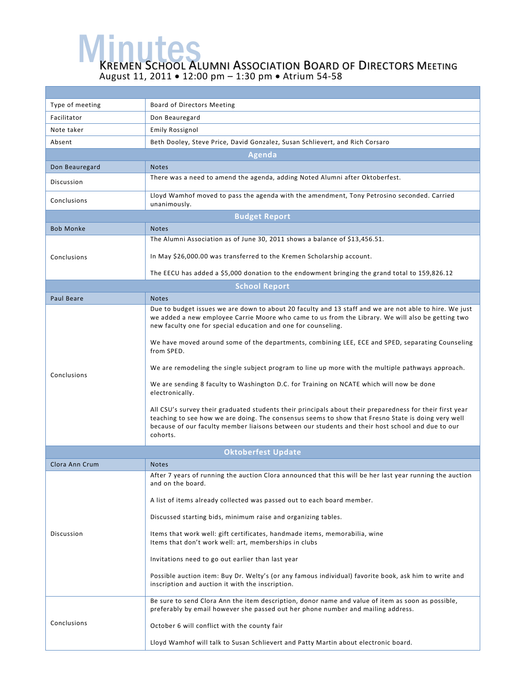**MEMEN SCHOOL ALUMNI ASSOCIATION BOARD OF DIRECTORS MEETING** August 11, 2011 • 12:00 pm – 1:30 pm • Atrium 54-58

| Type of meeting           | Board of Directors Meeting                                                                                                                                                                                                                                                                                                     |  |  |
|---------------------------|--------------------------------------------------------------------------------------------------------------------------------------------------------------------------------------------------------------------------------------------------------------------------------------------------------------------------------|--|--|
| Facilitator               | Don Beauregard                                                                                                                                                                                                                                                                                                                 |  |  |
| Note taker                | <b>Emily Rossignol</b>                                                                                                                                                                                                                                                                                                         |  |  |
| Absent                    | Beth Dooley, Steve Price, David Gonzalez, Susan Schlievert, and Rich Corsaro                                                                                                                                                                                                                                                   |  |  |
| <b>Agenda</b>             |                                                                                                                                                                                                                                                                                                                                |  |  |
| Don Beauregard            | <b>Notes</b>                                                                                                                                                                                                                                                                                                                   |  |  |
| Discussion                | There was a need to amend the agenda, adding Noted Alumni after Oktoberfest.                                                                                                                                                                                                                                                   |  |  |
| Conclusions               | Lloyd Wamhof moved to pass the agenda with the amendment, Tony Petrosino seconded. Carried<br>unanimously.                                                                                                                                                                                                                     |  |  |
| <b>Budget Report</b>      |                                                                                                                                                                                                                                                                                                                                |  |  |
| <b>Bob Monke</b>          | <b>Notes</b>                                                                                                                                                                                                                                                                                                                   |  |  |
| Conclusions               | The Alumni Association as of June 30, 2011 shows a balance of \$13,456.51.                                                                                                                                                                                                                                                     |  |  |
|                           | In May \$26,000.00 was transferred to the Kremen Scholarship account.                                                                                                                                                                                                                                                          |  |  |
|                           | The EECU has added a \$5,000 donation to the endowment bringing the grand total to 159,826.12                                                                                                                                                                                                                                  |  |  |
| <b>School Report</b>      |                                                                                                                                                                                                                                                                                                                                |  |  |
| Paul Beare                | <b>Notes</b>                                                                                                                                                                                                                                                                                                                   |  |  |
| Conclusions               | Due to budget issues we are down to about 20 faculty and 13 staff and we are not able to hire. We just<br>we added a new employee Carrie Moore who came to us from the Library. We will also be getting two<br>new faculty one for special education and one for counseling.                                                   |  |  |
|                           | We have moved around some of the departments, combining LEE, ECE and SPED, separating Counseling<br>from SPED.                                                                                                                                                                                                                 |  |  |
|                           | We are remodeling the single subject program to line up more with the multiple pathways approach.                                                                                                                                                                                                                              |  |  |
|                           | We are sending 8 faculty to Washington D.C. for Training on NCATE which will now be done<br>electronically.                                                                                                                                                                                                                    |  |  |
|                           | All CSU's survey their graduated students their principals about their preparedness for their first year<br>teaching to see how we are doing. The consensus seems to show that Fresno State is doing very well<br>because of our faculty member liaisons between our students and their host school and due to our<br>cohorts. |  |  |
| <b>Oktoberfest Update</b> |                                                                                                                                                                                                                                                                                                                                |  |  |
| Clora Ann Crum            | <b>Notes</b>                                                                                                                                                                                                                                                                                                                   |  |  |
| Discussion                | After 7 years of running the auction Clora announced that this will be her last year running the auction<br>and on the board.                                                                                                                                                                                                  |  |  |
|                           | A list of items already collected was passed out to each board member.                                                                                                                                                                                                                                                         |  |  |
|                           | Discussed starting bids, minimum raise and organizing tables.                                                                                                                                                                                                                                                                  |  |  |
|                           | Items that work well: gift certificates, handmade items, memorabilia, wine<br>Items that don't work well: art, memberships in clubs                                                                                                                                                                                            |  |  |
|                           | Invitations need to go out earlier than last year                                                                                                                                                                                                                                                                              |  |  |
|                           | Possible auction item: Buy Dr. Welty's (or any famous individual) favorite book, ask him to write and<br>inscription and auction it with the inscription.                                                                                                                                                                      |  |  |
| Conclusions               | Be sure to send Clora Ann the item description, donor name and value of item as soon as possible,<br>preferably by email however she passed out her phone number and mailing address.                                                                                                                                          |  |  |
|                           | October 6 will conflict with the county fair                                                                                                                                                                                                                                                                                   |  |  |
|                           | Lloyd Wamhof will talk to Susan Schlievert and Patty Martin about electronic board.                                                                                                                                                                                                                                            |  |  |